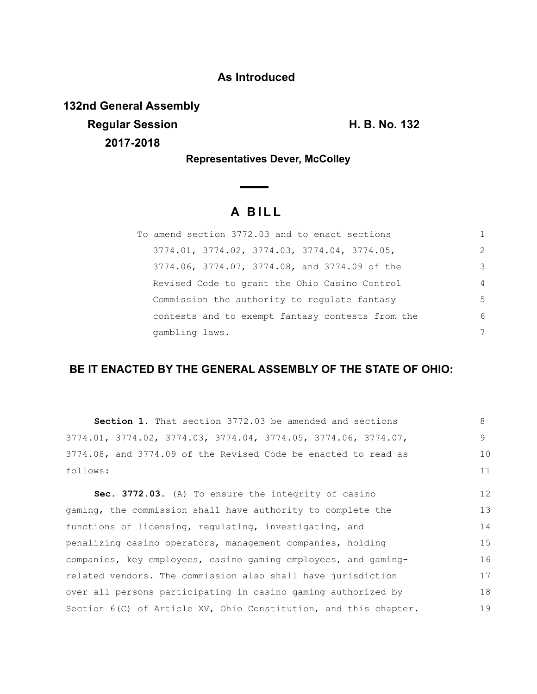### **As Introduced**

**132nd General Assembly Regular Session H. B. No. 132 2017-2018**

**Representatives Dever, McColley**

 $\overline{\phantom{a}}$ 

# **A B I L L**

| To amend section 3772.03 and to enact sections   |                |
|--------------------------------------------------|----------------|
| 3774.01, 3774.02, 3774.03, 3774.04, 3774.05,     | 2              |
| 3774.06, 3774.07, 3774.08, and 3774.09 of the    | 3              |
| Revised Code to grant the Ohio Casino Control    | $\overline{4}$ |
| Commission the authority to regulate fantasy     | 5              |
| contests and to exempt fantasy contests from the | 6              |
| gambling laws.                                   | 7              |

## **BE IT ENACTED BY THE GENERAL ASSEMBLY OF THE STATE OF OHIO:**

| <b>Section 1.</b> That section 3772.03 be amended and sections   | 8  |
|------------------------------------------------------------------|----|
| 3774.01, 3774.02, 3774.03, 3774.04, 3774.05, 3774.06, 3774.07,   | 9  |
| 3774.08, and 3774.09 of the Revised Code be enacted to read as   | 10 |
| follows:                                                         | 11 |
| <b>Sec. 3772.03.</b> (A) To ensure the integrity of casino       | 12 |
| gaming, the commission shall have authority to complete the      | 13 |
| functions of licensing, regulating, investigating, and           | 14 |
| penalizing casino operators, management companies, holding       | 15 |
| companies, key employees, casino gaming employees, and gaming-   | 16 |
| related vendors. The commission also shall have jurisdiction     | 17 |
| over all persons participating in casino gaming authorized by    | 18 |
| Section 6(C) of Article XV, Ohio Constitution, and this chapter. | 19 |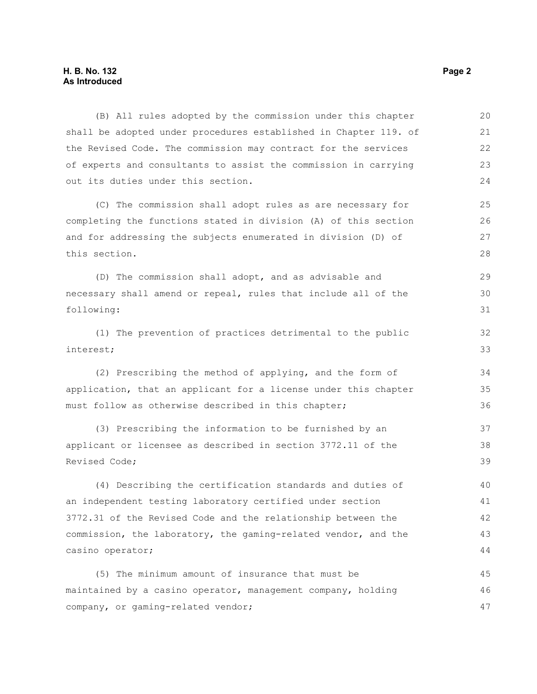#### **H. B. No. 132 Page 2 As Introduced**

(B) All rules adopted by the commission under this chapter shall be adopted under procedures established in Chapter 119. of the Revised Code. The commission may contract for the services of experts and consultants to assist the commission in carrying out its duties under this section. (C) The commission shall adopt rules as are necessary for completing the functions stated in division (A) of this section and for addressing the subjects enumerated in division (D) of this section. (D) The commission shall adopt, and as advisable and necessary shall amend or repeal, rules that include all of the following: (1) The prevention of practices detrimental to the public interest; (2) Prescribing the method of applying, and the form of application, that an applicant for a license under this chapter must follow as otherwise described in this chapter; (3) Prescribing the information to be furnished by an applicant or licensee as described in section 3772.11 of the Revised Code; (4) Describing the certification standards and duties of an independent testing laboratory certified under section 3772.31 of the Revised Code and the relationship between the commission, the laboratory, the gaming-related vendor, and the casino operator; (5) The minimum amount of insurance that must be 20 21 22 23 24 25 26 27 28 29 30 31 32 33 34 35 36 37 38 39 40 41 42 43 44 45

maintained by a casino operator, management company, holding company, or gaming-related vendor; 46 47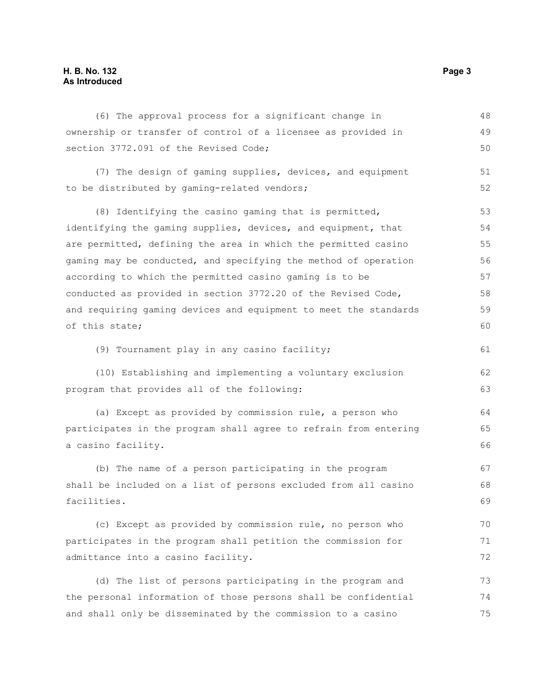### **H. B. No. 132 Page 3 As Introduced**

| (6) The approval process for a significant change in             | 48 |
|------------------------------------------------------------------|----|
| ownership or transfer of control of a licensee as provided in    | 49 |
| section 3772.091 of the Revised Code;                            | 50 |
| (7) The design of gaming supplies, devices, and equipment        | 51 |
| to be distributed by gaming-related vendors;                     | 52 |
| (8) Identifying the casino gaming that is permitted,             | 53 |
| identifying the gaming supplies, devices, and equipment, that    | 54 |
| are permitted, defining the area in which the permitted casino   | 55 |
| gaming may be conducted, and specifying the method of operation  | 56 |
| according to which the permitted casino gaming is to be          | 57 |
| conducted as provided in section 3772.20 of the Revised Code,    | 58 |
| and requiring gaming devices and equipment to meet the standards | 59 |
| of this state;                                                   | 60 |
| (9) Tournament play in any casino facility;                      | 61 |
| (10) Establishing and implementing a voluntary exclusion         | 62 |
| program that provides all of the following:                      | 63 |
| (a) Except as provided by commission rule, a person who          | 64 |
| participates in the program shall agree to refrain from entering | 65 |
| a casino facility.                                               | 66 |
| (b) The name of a person participating in the program            | 67 |
| shall be included on a list of persons excluded from all casino  | 68 |
| facilities.                                                      | 69 |
| (c) Except as provided by commission rule, no person who         | 70 |
| participates in the program shall petition the commission for    | 71 |
| admittance into a casino facility.                               | 72 |
| (d) The list of persons participating in the program and         | 73 |
| the personal information of those persons shall be confidential  | 74 |
| and shall only be disseminated by the commission to a casino     | 75 |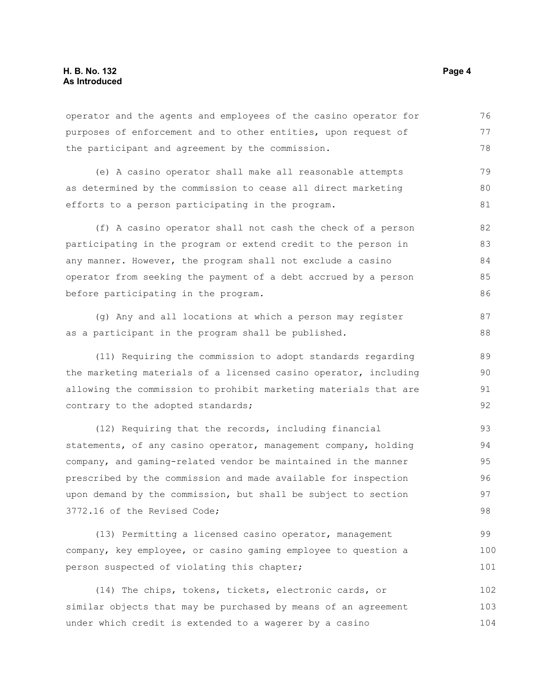operator and the agents and employees of the casino operator for purposes of enforcement and to other entities, upon request of the participant and agreement by the commission. 76 77 78

(e) A casino operator shall make all reasonable attempts as determined by the commission to cease all direct marketing efforts to a person participating in the program. 79 80 81

(f) A casino operator shall not cash the check of a person participating in the program or extend credit to the person in any manner. However, the program shall not exclude a casino operator from seeking the payment of a debt accrued by a person before participating in the program. 82 83 84 85 86

(g) Any and all locations at which a person may register as a participant in the program shall be published. 87 88

(11) Requiring the commission to adopt standards regarding the marketing materials of a licensed casino operator, including allowing the commission to prohibit marketing materials that are contrary to the adopted standards; 89 90 91 92

(12) Requiring that the records, including financial statements, of any casino operator, management company, holding company, and gaming-related vendor be maintained in the manner prescribed by the commission and made available for inspection upon demand by the commission, but shall be subject to section 3772.16 of the Revised Code; 93 94 95 96 97 98

(13) Permitting a licensed casino operator, management company, key employee, or casino gaming employee to question a person suspected of violating this chapter; 99 100 101

(14) The chips, tokens, tickets, electronic cards, or similar objects that may be purchased by means of an agreement under which credit is extended to a wagerer by a casino 102 103 104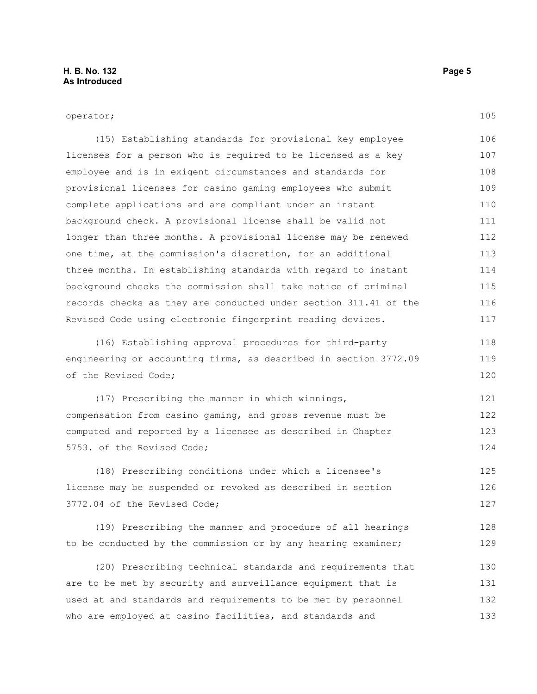105

#### operator;

(15) Establishing standards for provisional key employee licenses for a person who is required to be licensed as a key employee and is in exigent circumstances and standards for provisional licenses for casino gaming employees who submit complete applications and are compliant under an instant background check. A provisional license shall be valid not longer than three months. A provisional license may be renewed one time, at the commission's discretion, for an additional three months. In establishing standards with regard to instant background checks the commission shall take notice of criminal records checks as they are conducted under section 311.41 of the Revised Code using electronic fingerprint reading devices. 106 107 108 109 110 111 112 113 114 115 116 117

(16) Establishing approval procedures for third-party engineering or accounting firms, as described in section 3772.09 of the Revised Code; 118 119 120

(17) Prescribing the manner in which winnings, compensation from casino gaming, and gross revenue must be computed and reported by a licensee as described in Chapter 5753. of the Revised Code; 121 122 123 124

(18) Prescribing conditions under which a licensee's license may be suspended or revoked as described in section 3772.04 of the Revised Code; 125 126 127

(19) Prescribing the manner and procedure of all hearings to be conducted by the commission or by any hearing examiner; 128 129

(20) Prescribing technical standards and requirements that are to be met by security and surveillance equipment that is used at and standards and requirements to be met by personnel who are employed at casino facilities, and standards and 130 131 132 133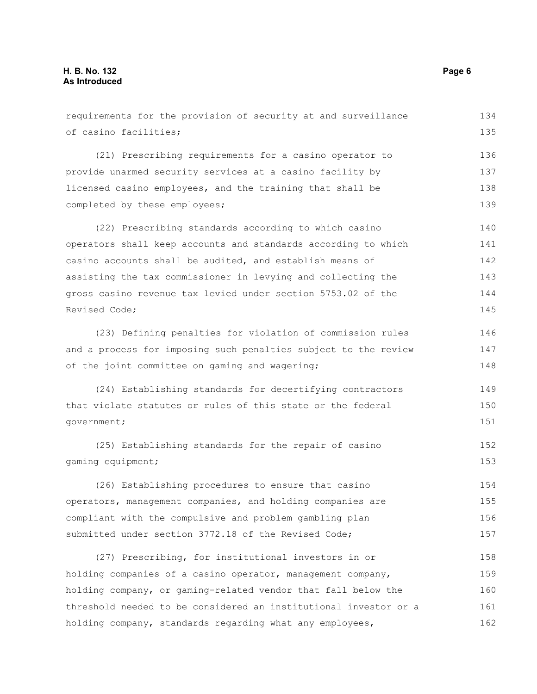requirements for the provision of security at and surveillance of casino facilities; (21) Prescribing requirements for a casino operator to provide unarmed security services at a casino facility by licensed casino employees, and the training that shall be completed by these employees; (22) Prescribing standards according to which casino operators shall keep accounts and standards according to which casino accounts shall be audited, and establish means of assisting the tax commissioner in levying and collecting the gross casino revenue tax levied under section 5753.02 of the Revised Code; (23) Defining penalties for violation of commission rules and a process for imposing such penalties subject to the review of the joint committee on gaming and wagering; (24) Establishing standards for decertifying contractors that violate statutes or rules of this state or the federal government; (25) Establishing standards for the repair of casino gaming equipment; (26) Establishing procedures to ensure that casino operators, management companies, and holding companies are compliant with the compulsive and problem gambling plan submitted under section 3772.18 of the Revised Code; (27) Prescribing, for institutional investors in or holding companies of a casino operator, management company, holding company, or gaming-related vendor that fall below the threshold needed to be considered an institutional investor or a holding company, standards regarding what any employees, 134 135 136 137 138 139 140 141 142 143 144 145 146 147 148 149 150 151 152 153 154 155 156 157 158 159 160 161 162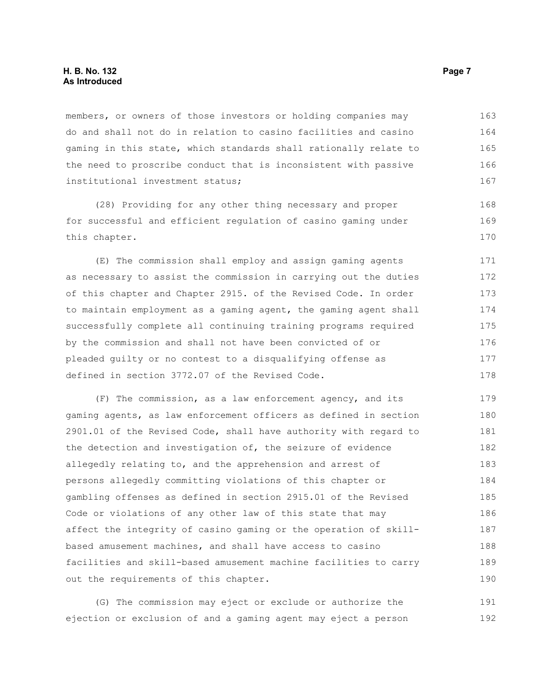#### **H. B. No. 132 Page 7 As Introduced**

members, or owners of those investors or holding companies may do and shall not do in relation to casino facilities and casino gaming in this state, which standards shall rationally relate to the need to proscribe conduct that is inconsistent with passive institutional investment status; 163 164 165 166 167

(28) Providing for any other thing necessary and proper for successful and efficient regulation of casino gaming under this chapter.

(E) The commission shall employ and assign gaming agents as necessary to assist the commission in carrying out the duties of this chapter and Chapter 2915. of the Revised Code. In order to maintain employment as a gaming agent, the gaming agent shall successfully complete all continuing training programs required by the commission and shall not have been convicted of or pleaded guilty or no contest to a disqualifying offense as defined in section 3772.07 of the Revised Code. 171 172 173 174 175 176 177 178

(F) The commission, as a law enforcement agency, and its gaming agents, as law enforcement officers as defined in section 2901.01 of the Revised Code, shall have authority with regard to the detection and investigation of, the seizure of evidence allegedly relating to, and the apprehension and arrest of persons allegedly committing violations of this chapter or gambling offenses as defined in section 2915.01 of the Revised Code or violations of any other law of this state that may affect the integrity of casino gaming or the operation of skillbased amusement machines, and shall have access to casino facilities and skill-based amusement machine facilities to carry out the requirements of this chapter. 179 180 181 182 183 184 185 186 187 188 189 190

(G) The commission may eject or exclude or authorize the ejection or exclusion of and a gaming agent may eject a person 191 192

168 169 170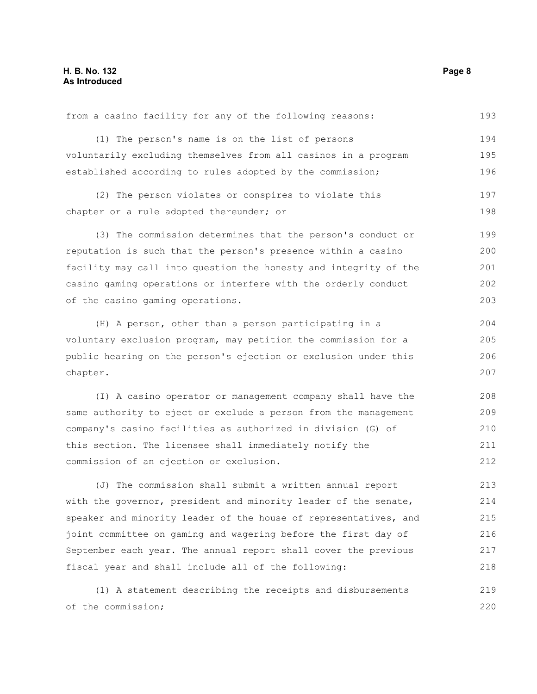| from a casino facility for any of the following reasons:                                                        | 193           |
|-----------------------------------------------------------------------------------------------------------------|---------------|
| (1) The person's name is on the list of persons                                                                 | 194           |
| voluntarily excluding themselves from all casinos in a program                                                  | 195           |
| established according to rules adopted by the commission;                                                       | 196           |
| (2) The person violates or conspires to violate this                                                            | 197           |
| chapter or a rule adopted thereunder; or                                                                        | 198           |
| (3) The commission determines that the person's conduct or                                                      | 199           |
| reputation is such that the person's presence within a casino                                                   | 200           |
| facility may call into question the honesty and integrity of the                                                | 201           |
| casino gaming operations or interfere with the orderly conduct                                                  | 202           |
| of the casino gaming operations.                                                                                | 203           |
| (H) A person, other than a person participating in a                                                            | 204           |
| voluntary exclusion program, may petition the commission for a                                                  | 205           |
| public hearing on the person's ejection or exclusion under this                                                 | 206           |
| chapter.                                                                                                        | 207           |
| (I) A casino operator or management company shall have the                                                      | 208           |
| same authority to eject or exclude a person from the management                                                 | 209           |
| company's casino facilities as authorized in division (G) of                                                    | 210           |
| this section. The licensee shall immediately notify the                                                         | 211           |
| commission of an ejection or exclusion.                                                                         | 212           |
| the contract of the contract of the contract of the contract of the contract of the contract of the contract of | $\sim$ $\sim$ |

(J) The commission shall submit a written annual report with the governor, president and minority leader of the senate, speaker and minority leader of the house of representatives, and joint committee on gaming and wagering before the first day of September each year. The annual report shall cover the previous fiscal year and shall include all of the following: 213 214 215 216 217 218

(1) A statement describing the receipts and disbursements of the commission; 219 220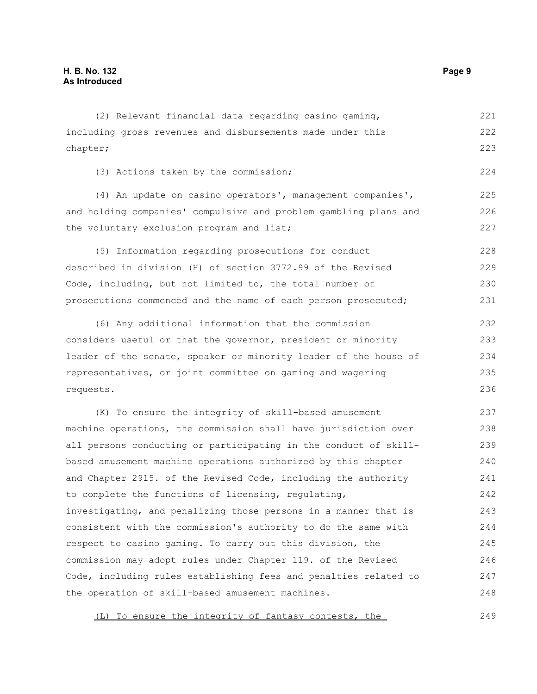including gross revenues and disbursements made under this chapter; (3) Actions taken by the commission; (4) An update on casino operators', management companies', and holding companies' compulsive and problem gambling plans and the voluntary exclusion program and list; (5) Information regarding prosecutions for conduct described in division (H) of section 3772.99 of the Revised Code, including, but not limited to, the total number of prosecutions commenced and the name of each person prosecuted; (6) Any additional information that the commission considers useful or that the governor, president or minority leader of the senate, speaker or minority leader of the house of representatives, or joint committee on gaming and wagering requests. (K) To ensure the integrity of skill-based amusement 222 223 224 225 226 227 228 229 230 231 232 233 234 235 236 237 238

(2) Relevant financial data regarding casino gaming,

machine operations, the commission shall have jurisdiction over all persons conducting or participating in the conduct of skillbased amusement machine operations authorized by this chapter and Chapter 2915. of the Revised Code, including the authority to complete the functions of licensing, regulating, investigating, and penalizing those persons in a manner that is consistent with the commission's authority to do the same with respect to casino gaming. To carry out this division, the commission may adopt rules under Chapter 119. of the Revised Code, including rules establishing fees and penalties related to the operation of skill-based amusement machines. 239 240 241 242 243 244 245 246 247 248

(L) To ensure the integrity of fantasy contests, the 249

221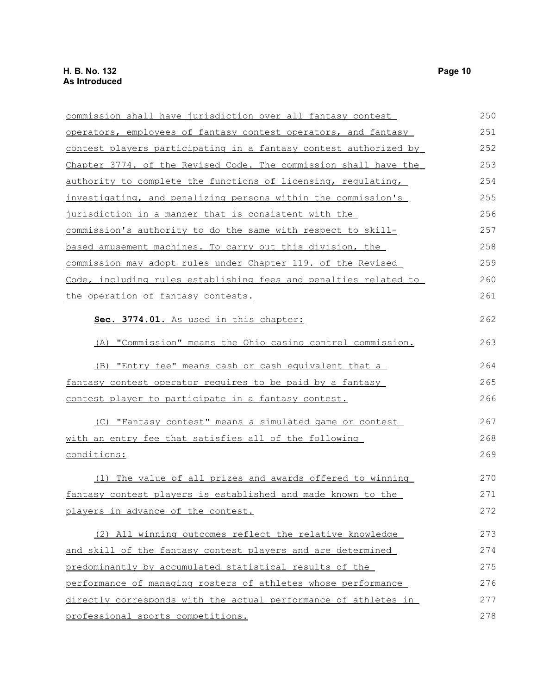| commission shall have jurisdiction over all fantasy contest          | 250 |
|----------------------------------------------------------------------|-----|
| operators, employees of fantasy contest operators, and fantasy       | 251 |
| contest players participating in a fantasy contest authorized by     | 252 |
| Chapter 3774. of the Revised Code. The commission shall have the     | 253 |
| authority to complete the functions of licensing, regulating,        | 254 |
| <u>investigating, and penalizing persons within the commission's</u> | 255 |
| jurisdiction in a manner that is consistent with the                 | 256 |
| commission's authority to do the same with respect to skill-         | 257 |
| based amusement machines. To carry out this division, the            | 258 |
| commission may adopt rules under Chapter 119. of the Revised         | 259 |
| Code, including rules establishing fees and penalties related to     | 260 |
| the operation of fantasy contests.                                   | 261 |
| Sec. 3774.01. As used in this chapter:                               | 262 |
| (A) "Commission" means the Ohio casino control commission.           | 263 |
| (B) "Entry fee" means cash or cash equivalent that a                 | 264 |
| fantasy contest operator requires to be paid by a fantasy            | 265 |
| <u>contest player to participate in a fantasy contest.</u>           | 266 |
| (C) "Fantasy contest" means a simulated game or contest              | 267 |
| with an entry fee that satisfies all of the following                | 268 |
| conditions:                                                          | 269 |
| (1) The value of all prizes and awards offered to winning            | 270 |
| fantasy contest players is established and made known to the         | 271 |
| players in advance of the contest.                                   | 272 |
| (2) All winning outcomes reflect the relative knowledge              | 273 |
| and skill of the fantasy contest players and are determined          | 274 |
| predominantly by accumulated statistical results of the              | 275 |
| performance of managing rosters of athletes whose performance        | 276 |
| directly corresponds with the actual performance of athletes in      | 277 |
| professional sports competitions.                                    | 278 |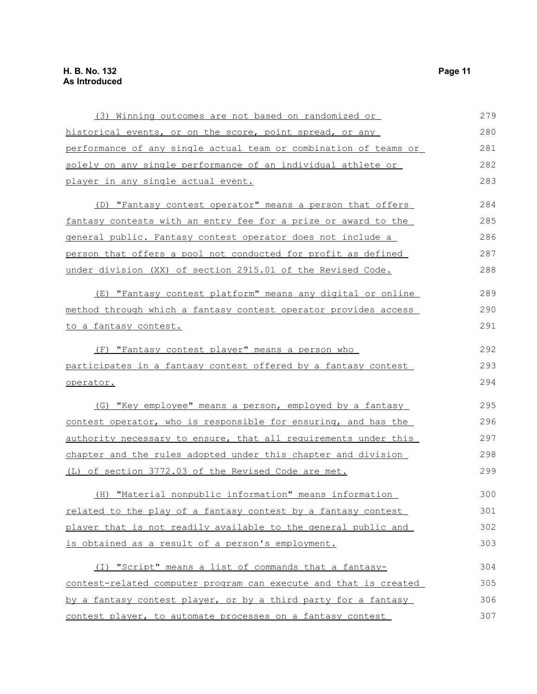| (3) Winning outcomes are not based on randomized or                | 279 |
|--------------------------------------------------------------------|-----|
| historical events, or on the score, point spread, or any           | 280 |
| performance of any single actual team or combination of teams or   | 281 |
| solely on any single performance of an individual athlete or       | 282 |
| player in any single actual event.                                 | 283 |
| (D) "Fantasy contest operator" means a person that offers          | 284 |
| fantasy contests with an entry fee for a prize or award to the     | 285 |
| <u>general public. Fantasy contest operator does not include a</u> | 286 |
| person that offers a pool not conducted for profit as defined      | 287 |
| under division (XX) of section 2915.01 of the Revised Code.        | 288 |
| (E) "Fantasy contest platform" means any digital or online         | 289 |
| method through which a fantasy contest operator provides access    | 290 |
| to a fantasy contest.                                              | 291 |
| (F) "Fantasy contest player" means a person who                    | 292 |
| participates in a fantasy contest offered by a fantasy contest     | 293 |
| operator.                                                          | 294 |
| (G) "Key employee" means a person, employed by a fantasy           | 295 |
| contest operator, who is responsible for ensuring, and has the     | 296 |
| authority necessary to ensure, that all requirements under this    | 297 |
| chapter and the rules adopted under this chapter and division      | 298 |
| (L) of section 3772.03 of the Revised Code are met.                | 299 |
| (H) "Material nonpublic information" means information             | 300 |
| related to the play of a fantasy contest by a fantasy contest      | 301 |
| player that is not readily available to the general public and     | 302 |
| is obtained as a result of a person's employment.                  | 303 |
| (I) "Script" means a list of commands that a fantasy-              | 304 |
| contest-related computer program can execute and that is created   | 305 |
| by a fantasy contest player, or by a third party for a fantasy     | 306 |
| contest player, to automate processes on a fantasy contest         | 307 |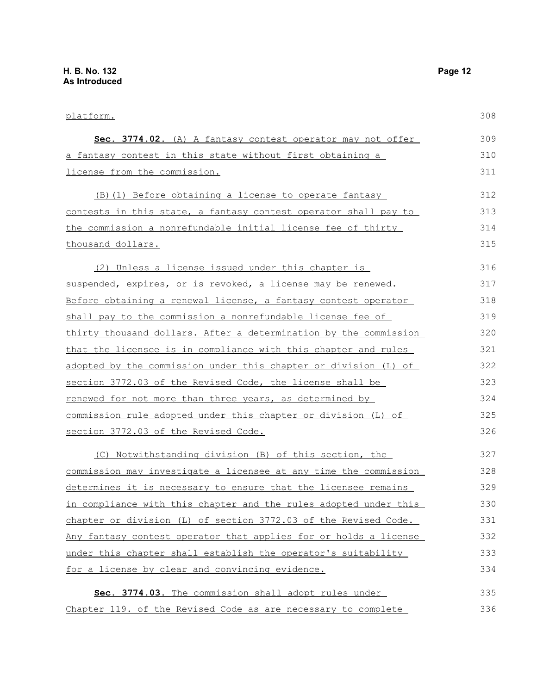| platform.                                                         | 308 |
|-------------------------------------------------------------------|-----|
| Sec. 3774.02. (A) A fantasy contest operator may not offer        | 309 |
| a fantasy contest in this state without first obtaining a         | 310 |
| license from the commission.                                      | 311 |
| (B) (1) Before obtaining a license to operate fantasy             | 312 |
| contests in this state, a fantasy contest operator shall pay to   | 313 |
| the commission a nonrefundable initial license fee of thirty      | 314 |
| thousand dollars.                                                 | 315 |
| (2) Unless a license issued under this chapter is                 | 316 |
| suspended, expires, or is revoked, a license may be renewed.      | 317 |
| Before obtaining a renewal license, a fantasy contest operator    | 318 |
| shall pay to the commission a nonrefundable license fee of        | 319 |
| thirty thousand dollars. After a determination by the commission  | 320 |
| that the licensee is in compliance with this chapter and rules    | 321 |
| adopted by the commission under this chapter or division (L) of   | 322 |
| section 3772.03 of the Revised Code, the license shall be         | 323 |
| renewed for not more than three years, as determined by           | 324 |
| commission rule adopted under this chapter or division (L) of     | 325 |
| section 3772.03 of the Revised Code.                              | 326 |
| (C) Notwithstanding division (B) of this section, the             | 327 |
| commission may investigate a licensee at any time the commission  | 328 |
| determines it is necessary to ensure that the licensee remains    | 329 |
| in compliance with this chapter and the rules adopted under this  | 330 |
| chapter or division $(L)$ of section 3772.03 of the Revised Code. | 331 |
| Any fantasy contest operator that applies for or holds a license  | 332 |
| under this chapter shall establish the operator's suitability     | 333 |
| for a license by clear and convincing evidence.                   | 334 |
| Sec. 3774.03. The commission shall adopt rules under              | 335 |
| Chapter 119. of the Revised Code as are necessary to complete     | 336 |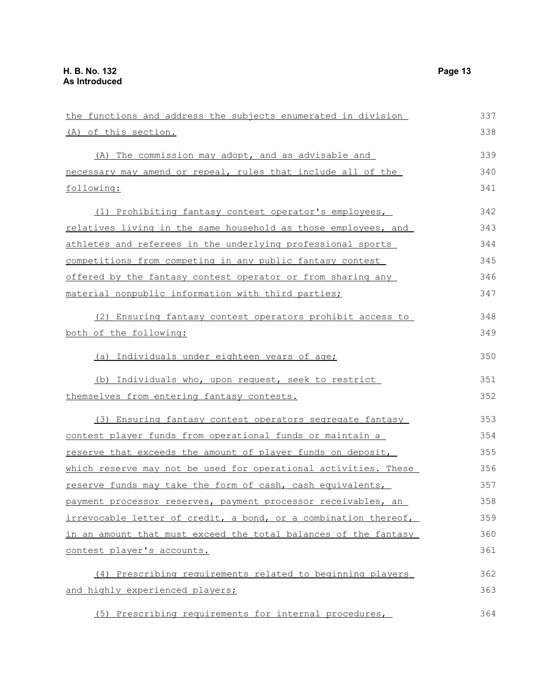| the functions and address the subjects enumerated in division   | 337 |
|-----------------------------------------------------------------|-----|
| (A) of this section.                                            | 338 |
| (A) The commission may adopt, and as advisable and              | 339 |
| necessary may amend or repeal, rules that include all of the    | 340 |
| following:                                                      | 341 |
| (1) Prohibiting fantasy contest operator's employees,           | 342 |
| relatives living in the same household as those employees, and  | 343 |
| athletes and referees in the underlying professional sports     | 344 |
| competitions from competing in any public fantasy contest       | 345 |
| offered by the fantasy contest operator or from sharing any     | 346 |
| material nonpublic information with third parties;              | 347 |
| (2) Ensuring fantasy contest operators prohibit access to       | 348 |
| both of the following:                                          | 349 |
| (a) Individuals under eighteen years of age;                    | 350 |
| (b) Individuals who, upon request, seek to restrict             | 351 |
| themselves from entering fantasy contests.                      | 352 |
| (3) Ensuring fantasy contest operators segregate fantasy        | 353 |
| contest player funds from operational funds or maintain a       | 354 |
| reserve that exceeds the amount of player funds on deposit,     | 355 |
| which reserve may not be used for operational activities. These | 356 |
| reserve funds may take the form of cash, cash equivalents,      | 357 |
| payment processor reserves, payment processor receivables, an   | 358 |
| irrevocable letter of credit, a bond, or a combination thereof, | 359 |
| in an amount that must exceed the total balances of the fantasy | 360 |
| contest player's accounts.                                      | 361 |
| (4) Prescribing requirements related to beginning players       | 362 |
| and highly experienced players;                                 | 363 |
| (5) Prescribing requirements for internal procedures,           | 364 |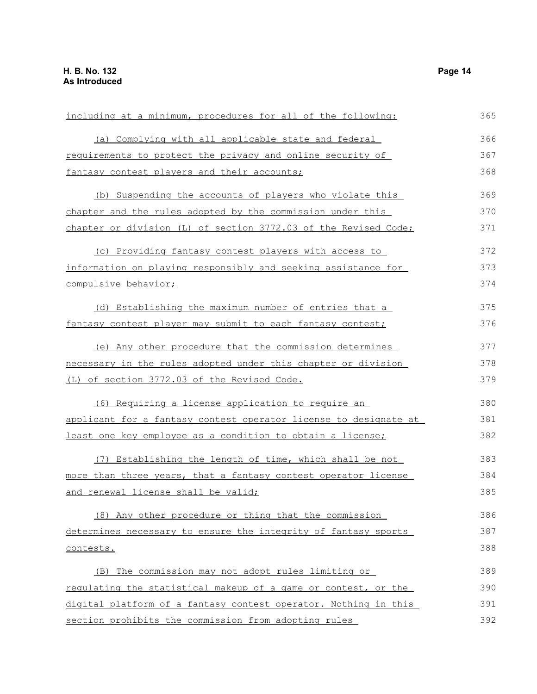| including at a minimum, procedures for all of the following:     | 365 |
|------------------------------------------------------------------|-----|
| (a) Complying with all applicable state and federal              | 366 |
| requirements to protect the privacy and online security of       | 367 |
| <u>fantasy</u> contest players and their accounts;               | 368 |
| (b) Suspending the accounts of players who violate this          | 369 |
| chapter and the rules adopted by the commission under this       | 370 |
| chapter or division (L) of section 3772.03 of the Revised Code;  | 371 |
| (c) Providing fantasy contest players with access to             | 372 |
| information on playing responsibly and seeking assistance for    | 373 |
| compulsive behavior;                                             | 374 |
| (d) Establishing the maximum number of entries that a            | 375 |
| fantasy contest player may submit to each fantasy contest;       | 376 |
| (e) Any other procedure that the commission determines           | 377 |
| necessary in the rules adopted under this chapter or division    | 378 |
| (L) of section 3772.03 of the Revised Code.                      | 379 |
| (6) Requiring a license application to require an                | 380 |
| applicant for a fantasy contest operator license to designate at | 381 |
| least one key employee as a condition to obtain a license;       | 382 |
| (7) Establishing the length of time, which shall be not          | 383 |
| more than three years, that a fantasy contest operator license   | 384 |
| and renewal license shall be valid;                              | 385 |
| (8) Any other procedure or thing that the commission             | 386 |
| determines necessary to ensure the integrity of fantasy sports   | 387 |
| contests.                                                        | 388 |
| (B) The commission may not adopt rules limiting or               | 389 |
| requlating the statistical makeup of a game or contest, or the   | 390 |
| digital platform of a fantasy contest operator. Nothing in this  | 391 |
| section prohibits the commission from adopting rules             | 392 |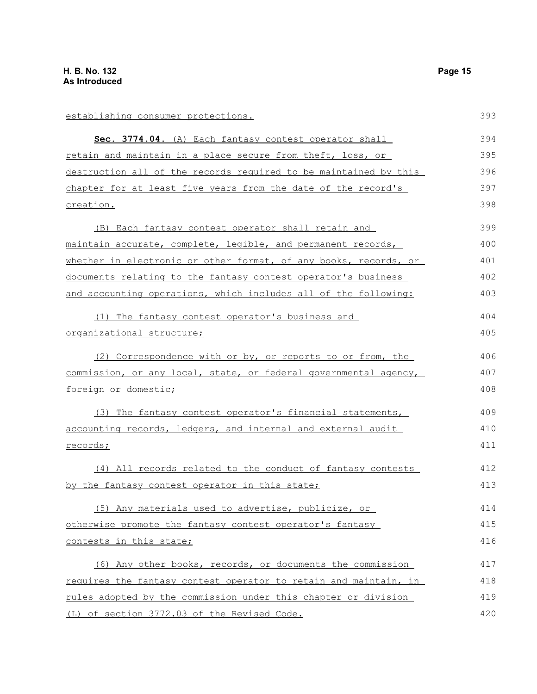establishing consumer protections. **Sec. 3774.04** . (A) Each fantasy contest operator shall retain and maintain in a place secure from theft, loss, or destruction all of the records required to be maintained by this chapter for at least five years from the date of the record's creation. (B) Each fantasy contest operator shall retain and maintain accurate, complete, legible, and permanent records, whether in electronic or other format, of any books, records, or documents relating to the fantasy contest operator's business and accounting operations, which includes all of the following: (1) The fantasy contest operator's business and organizational structure; (2) Correspondence with or by, or reports to or from, the commission, or any local, state, or federal governmental agency, foreign or domestic; (3) The fantasy contest operator's financial statements, accounting records, ledgers, and internal and external audit records; (4) All records related to the conduct of fantasy contests by the fantasy contest operator in this state; (5) Any materials used to advertise, publicize, or otherwise promote the fantasy contest operator's fantasy contests in this state; (6) Any other books, records, or documents the commission requires the fantasy contest operator to retain and maintain, in rules adopted by the commission under this chapter or division (L) of section 3772.03 of the Revised Code. 393 394 395 396 397 398 399 400 401 402 403 404 405 406 407 408 409 410 411 412 413 414 415 416 417 418 419 420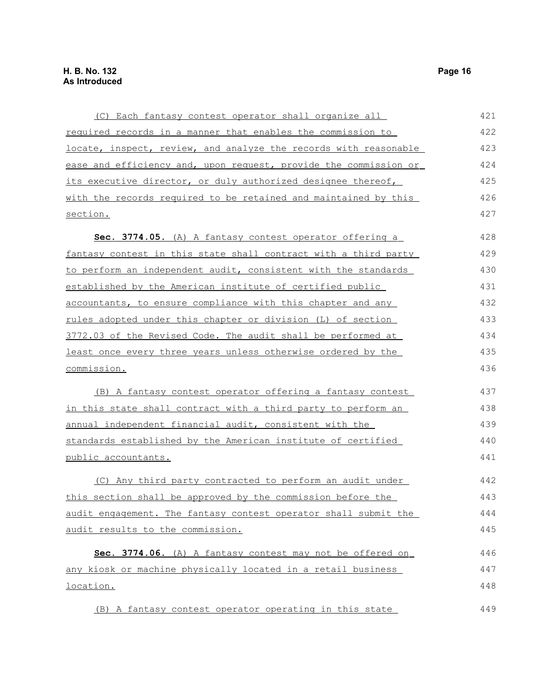| (C) Each fantasy contest operator shall organize all             | 421 |
|------------------------------------------------------------------|-----|
| required records in a manner that enables the commission to      | 422 |
| locate, inspect, review, and analyze the records with reasonable | 423 |
| ease and efficiency and, upon request, provide the commission or | 424 |
| its executive director, or duly authorized designee thereof,     | 425 |
| with the records required to be retained and maintained by this  | 426 |
| section.                                                         | 427 |
| Sec. 3774.05. (A) A fantasy contest operator offering a          | 428 |
| fantasy contest in this state shall contract with a third party  | 429 |
| to perform an independent audit, consistent with the standards   | 430 |
| established by the American institute of certified public        | 431 |
| accountants, to ensure compliance with this chapter and any      | 432 |
| rules adopted under this chapter or division (L) of section      | 433 |
| 3772.03 of the Revised Code. The audit shall be performed at     | 434 |
| least once every three years unless otherwise ordered by the     | 435 |
| commission.                                                      | 436 |
| (B) A fantasy contest operator offering a fantasy contest        | 437 |
| in this state shall contract with a third party to perform an    | 438 |
| annual independent financial audit, consistent with the          | 439 |
| standards established by the American institute of certified     | 440 |
| <u>public accountants.</u>                                       | 441 |
| (C) Any third party contracted to perform an audit under         | 442 |
| this section shall be approved by the commission before the      | 443 |
| audit engagement. The fantasy contest operator shall submit the  | 444 |
| audit results to the commission.                                 | 445 |
| Sec. 3774.06. (A) A fantasy contest may not be offered on        | 446 |
| any kiosk or machine physically located in a retail business     | 447 |
| <u>location.</u>                                                 | 448 |
| (B) A fantasy contest operator operating in this state           | 449 |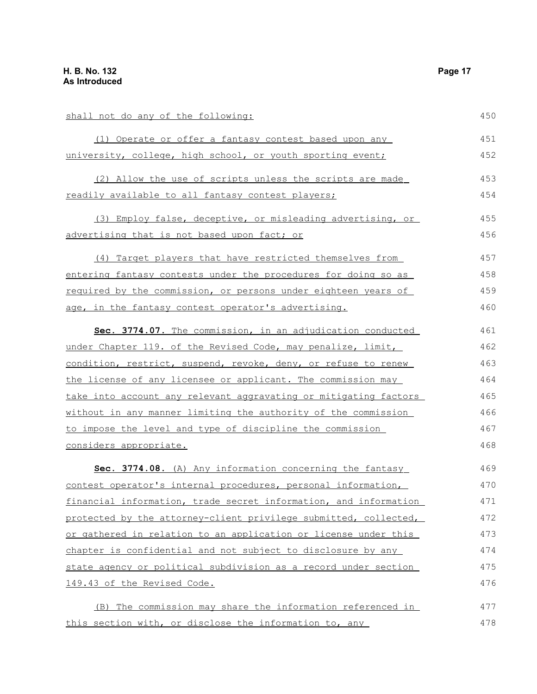| shall not do any of the following:                               | 450 |
|------------------------------------------------------------------|-----|
| (1) Operate or offer a fantasy contest based upon any            | 451 |
| university, college, high school, or youth sporting event;       | 452 |
| (2) Allow the use of scripts unless the scripts are made         | 453 |
| readily available to all fantasy contest players;                | 454 |
| (3) Employ false, deceptive, or misleading advertising, or       | 455 |
| advertising that is not based upon fact; or                      | 456 |
| (4) Target players that have restricted themselves from          | 457 |
| entering fantasy contests under the procedures for doing so as   | 458 |
| required by the commission, or persons under eighteen years of   | 459 |
| age, in the fantasy contest operator's advertising.              | 460 |
| Sec. 3774.07. The commission, in an adjudication conducted       | 461 |
| under Chapter 119. of the Revised Code, may penalize, limit,     | 462 |
| condition, restrict, suspend, revoke, deny, or refuse to renew   | 463 |
| the license of any licensee or applicant. The commission may     | 464 |
| take into account any relevant aggravating or mitigating factors | 465 |
| without in any manner limiting the authority of the commission   | 466 |
| to impose the level and type of discipline the commission        | 467 |
| considers appropriate.                                           | 468 |
| Sec. 3774.08. (A) Any information concerning the fantasy         | 469 |
| contest operator's internal procedures, personal information,    | 470 |
| financial information, trade secret information, and information | 471 |
| protected by the attorney-client privilege submitted, collected, | 472 |
| or gathered in relation to an application or license under this  | 473 |
| chapter is confidential and not subject to disclosure by any     | 474 |
| state agency or political subdivision as a record under section  | 475 |
| 149.43 of the Revised Code.                                      | 476 |
| (B) The commission may share the information referenced in       | 477 |
| this section with, or disclose the information to, any           | 478 |